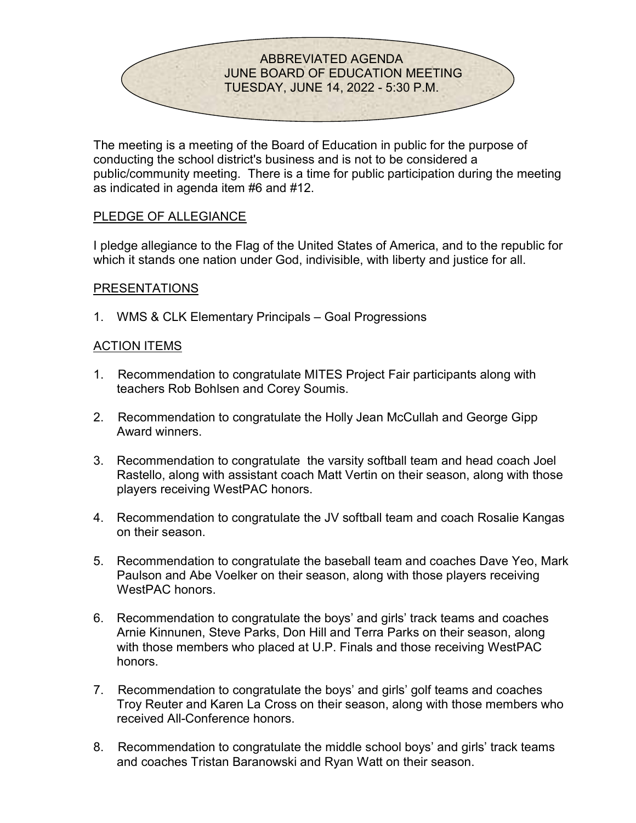

The meeting is a meeting of the Board of Education in public for the purpose of conducting the school district's business and is not to be considered a public/community meeting. There is a time for public participation during the meeting as indicated in agenda item #6 and #12.

# PLEDGE OF ALLEGIANCE

I pledge allegiance to the Flag of the United States of America, and to the republic for which it stands one nation under God, indivisible, with liberty and justice for all.

#### PRESENTATIONS

1. WMS & CLK Elementary Principals – Goal Progressions

### ACTION ITEMS

- 1. Recommendation to congratulate MITES Project Fair participants along with teachers Rob Bohlsen and Corey Soumis.
- 2. Recommendation to congratulate the Holly Jean McCullah and George Gipp Award winners.
- 3. Recommendation to congratulate the varsity softball team and head coach Joel Rastello, along with assistant coach Matt Vertin on their season, along with those players receiving WestPAC honors.
- 4. Recommendation to congratulate the JV softball team and coach Rosalie Kangas on their season.
- 5. Recommendation to congratulate the baseball team and coaches Dave Yeo, Mark Paulson and Abe Voelker on their season, along with those players receiving WestPAC honors.
- 6. Recommendation to congratulate the boys' and girls' track teams and coaches Arnie Kinnunen, Steve Parks, Don Hill and Terra Parks on their season, along with those members who placed at U.P. Finals and those receiving WestPAC honors.
- 7. Recommendation to congratulate the boys' and girls' golf teams and coaches Troy Reuter and Karen La Cross on their season, along with those members who received All-Conference honors.
- 8. Recommendation to congratulate the middle school boys' and girls' track teams and coaches Tristan Baranowski and Ryan Watt on their season.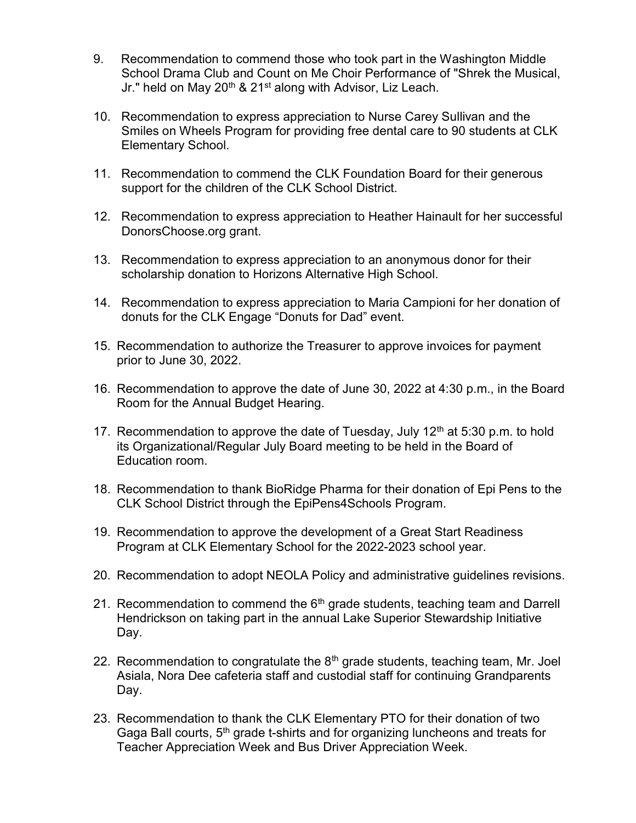- 9. Recommendation to commend those who took part in the Washington Middle School Drama Club and Count on Me Choir Performance of "Shrek the Musical, Jr." held on May  $20<sup>th</sup>$  &  $21<sup>st</sup>$  along with Advisor, Liz Leach.
- 10. Recommendation to express appreciation to Nurse Carey Sullivan and the Smiles on Wheels Program for providing free dental care to 90 students at CLK Elementary School.
- 11. Recommendation to commend the CLK Foundation Board for their generous support for the children of the CLK School District.
- 12. Recommendation to express appreciation to Heather Hainault for her successful DonorsChoose.org grant.
- 13. Recommendation to express appreciation to an anonymous donor for their scholarship donation to Horizons Alternative High School.
- 14. Recommendation to express appreciation to Maria Campioni for her donation of donuts for the CLK Engage "Donuts for Dad" event.
- 15. Recommendation to authorize the Treasurer to approve invoices for payment prior to June 30, 2022.
- 16. Recommendation to approve the date of June 30, 2022 at 4:30 p.m., in the Board Room for the Annual Budget Hearing.
- 17. Recommendation to approve the date of Tuesday, July  $12<sup>th</sup>$  at 5:30 p.m. to hold its Organizational/Regular July Board meeting to be held in the Board of Education room.
- 18. Recommendation to thank BioRidge Pharma for their donation of Epi Pens to the CLK School District through the EpiPens4Schools Program.
- 19. Recommendation to approve the development of a Great Start Readiness Program at CLK Elementary School for the 2022-2023 school year.
- 20. Recommendation to adopt NEOLA Policy and administrative guidelines revisions.
- 21. Recommendation to commend the  $6<sup>th</sup>$  grade students, teaching team and Darrell Hendrickson on taking part in the annual Lake Superior Stewardship Initiative Day.
- 22. Recommendation to congratulate the  $8<sup>th</sup>$  grade students, teaching team, Mr. Joel Asiala, Nora Dee cafeteria staff and custodial staff for continuing Grandparents Day.
- 23. Recommendation to thank the CLK Elementary PTO for their donation of two Gaga Ball courts, 5<sup>th</sup> grade t-shirts and for organizing luncheons and treats for Teacher Appreciation Week and Bus Driver Appreciation Week.